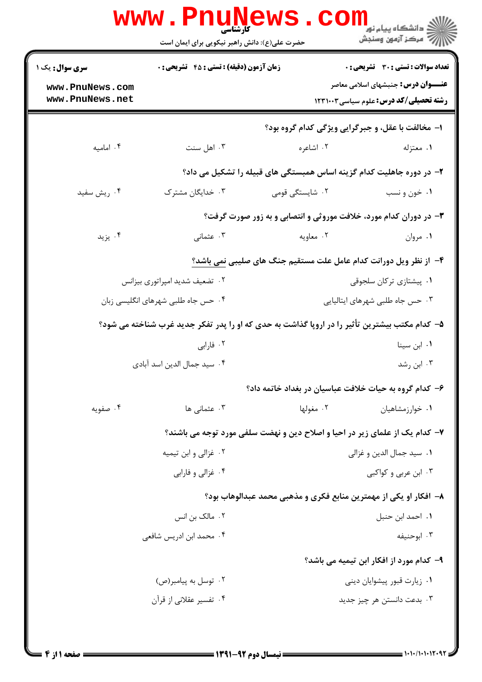|                                    | <b>www . Pn</b><br><b>کارشناسی</b><br>حضرت علی(ع): دانش راهبر نیکویی برای ایمان است           |                                                                             | ڪ دانشڪاه پيا <sub>م</sub> نور<br><mark>√</mark> مرڪز آزمون وسنڊش                           |  |
|------------------------------------|-----------------------------------------------------------------------------------------------|-----------------------------------------------------------------------------|---------------------------------------------------------------------------------------------|--|
| سری سوال: یک ۱                     | <b>زمان آزمون (دقیقه) : تستی : 45 قشریحی : 0</b>                                              |                                                                             | تعداد سوالات : تستى : 30 - تشريحي : 0                                                       |  |
| www.PnuNews.com<br>www.PnuNews.net |                                                                                               |                                                                             | <b>عنــــوان درس:</b> جنبشهای اسلامی معاصر<br><b>رشته تحصیلی/کد درس:</b> علوم سیاسی ۱۲۳۱۰۰۳ |  |
|                                    | ۱- مخالفت با عقل، و جبرگرایی ویژگی کدام گروه بود؟                                             |                                                                             |                                                                                             |  |
| ۰۴ امامیه                          | ۰۳ اهل سنت                                                                                    | ۰۲ اشاعره                                                                   | ۰۱ معتزله                                                                                   |  |
|                                    |                                                                                               | ۲- در دوره جاهلیت کدام گزینه اساس همبستگی های قبیله را تشکیل می داد؟        |                                                                                             |  |
| ۰۴ ریش سفید                        | ۰۳ خدایگان مشترک                                                                              | ۰۲ شایستگی قومی                                                             | ۰۱ خون و نسب                                                                                |  |
|                                    |                                                                                               | ۳- در دوران کدام مورد، خلافت موروثی و انتصابی و به زور صورت گرفت؟           |                                                                                             |  |
| ۰۴ يزيد                            | ۰۳ عثمانی                                                                                     | ۰۲ معاویه                                                                   | ۰۱ مروان                                                                                    |  |
|                                    |                                                                                               | ۴- از نظر ویل دورانت کدام عامل علت مستقیم جنگ های صلیبی نمی باشد؟           |                                                                                             |  |
|                                    | ۰۲ تضعیف شدید امپراتوری بیزانس                                                                |                                                                             | ٠١. پيشتازى تركان سلجوقى                                                                    |  |
|                                    | ۰۴ حس جاه طلبی شهرهای انگلیسی زبان                                                            |                                                                             | ۰۳ حس جاه طلبی شهرهای ایتالیایی                                                             |  |
|                                    | ۵– کدام مکتب بیشترین تأثیر را در اروپا گذاشت به حدی که او را پدر تفکر جدید غرب شناخته می شود؟ |                                                                             |                                                                                             |  |
|                                    | ۰۲ فارابی                                                                                     |                                                                             | ٠١. ابن سينا                                                                                |  |
|                                    | ۰۴ سید جمال الدین اسد آبادی                                                                   | ۰۳ ابن رشد                                                                  |                                                                                             |  |
|                                    |                                                                                               | ۶– کدام گروه به حیات خلافت عباسیان در بغداد خاتمه داد؟                      |                                                                                             |  |
| ۰۴ صفویه                           | ۰۳ عثمانی ها                                                                                  | ۰۲ مغولها                                                                   | ۰۱ خوارزمشاهیان                                                                             |  |
|                                    |                                                                                               | ۷– کدام یک از علمای زیر در احیا و اصلاح دین و نهضت سلفی مورد توجه می باشند؟ |                                                                                             |  |
|                                    | ۰۲ غزالي و ابن تيميه                                                                          |                                                                             | ٠١. سيد جمال الدين و غزالي                                                                  |  |
|                                    | ۰۴ غزالي و فارابي                                                                             |                                                                             | ۰۳ ابن عربی و کواکبی                                                                        |  |
|                                    |                                                                                               | ۸– افکار او یکی از مهمترین منابع فکری و مذهبی محمد عبدالوهاب بود؟           |                                                                                             |  |
|                                    | ۰۲ مالک بن انس                                                                                |                                                                             | ٠١. احمد ابن حنبل                                                                           |  |
|                                    | ۰۴ محمد ابن ادریس شافعی                                                                       |                                                                             | ۰۳ ابوحنیفه                                                                                 |  |
|                                    |                                                                                               |                                                                             | ۹- کدام مورد از افکار ابن تیمیه می باشد؟                                                    |  |
|                                    | ۰۲ توسل به پیامبر(ص)                                                                          |                                                                             | ۰۱ زیارت قبور پیشوایان دینی                                                                 |  |
|                                    | ۰۴ تفسیر عقلانی از قرآن                                                                       |                                                                             | ۰۳ بدعت دانستن هر چيز جديد                                                                  |  |
|                                    |                                                                                               |                                                                             |                                                                                             |  |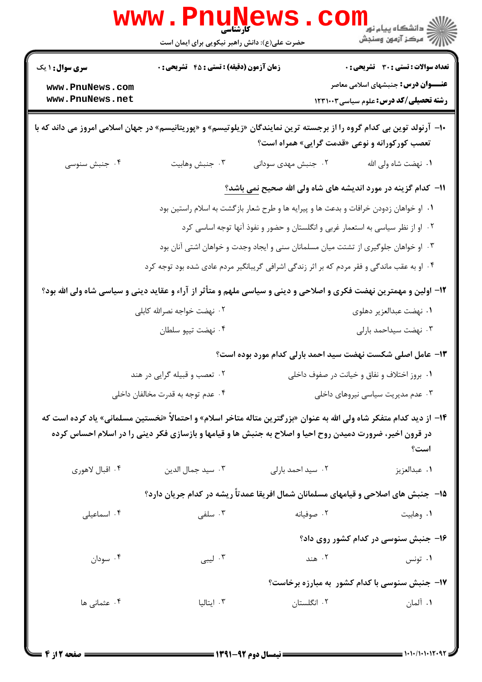|                                    | <b>www.Pnunet</b><br>کارشناسی<br>حضرت علی(ع): دانش راهبر نیکویی برای ایمان است  |                                                                                                                                                                         | ر دانشڪاه پيام نور ■<br>// مرکز آزمون وسنڊش                                          |  |  |
|------------------------------------|---------------------------------------------------------------------------------|-------------------------------------------------------------------------------------------------------------------------------------------------------------------------|--------------------------------------------------------------------------------------|--|--|
| <b>سری سوال :</b> ۱ یک             | <b>زمان آزمون (دقیقه) : تستی : 45 قشریحی : 0</b>                                |                                                                                                                                                                         | <b>تعداد سوالات : تستی : 30 ٪ تشریحی : 0</b>                                         |  |  |
| www.PnuNews.com<br>www.PnuNews.net |                                                                                 |                                                                                                                                                                         | <b>عنــــوان درس:</b> جنبشهای اسلامی معاصر<br>رشته تحصیلی/کد درس: علوم سیاسی ۱۲۳۱۰۰۳ |  |  |
|                                    |                                                                                 | +ا–  آرنولد توین بی کدام گروه را از برجسته ترین نمایندگان «زیلوتیسم» و «پوریتانیسم» در جهان اسلامی امروز می داند که با<br>تعصب کورکورانه و نوعی «قدمت گرایی» همراه است؟ |                                                                                      |  |  |
| ۰۴ جنبش سنوسی                      | ۰۳ جنبش وهابيت                                                                  | ۰۲ جنبش مهدی سودانی                                                                                                                                                     | <b>۱</b> .  نهضت شاه ولی الله                                                        |  |  |
|                                    | 11- كدام گزينه در مورد انديشه های شاه ولی الله صحيح <u>نمی باشد؟</u>            |                                                                                                                                                                         |                                                                                      |  |  |
|                                    |                                                                                 | ۰۱ او خواهان زدودن خرافات و بدعت ها و پیرایه ها و طرح شعار بازگشت به اسلام راستین بود                                                                                   |                                                                                      |  |  |
|                                    | ۰۲ او از نظر سیاسی به استعمار غربی و انگلستان و حضور و نفوذ آنها توجه اساسی کرد |                                                                                                                                                                         |                                                                                      |  |  |
|                                    |                                                                                 | ۰۳ او خواهان جلوگیری از تشتت میان مسلمانان سنی و ایجاد وجدت و خواهان اشتی آنان بود                                                                                      |                                                                                      |  |  |
|                                    |                                                                                 | ۰۴ او به عقب ماندگی و فقر مردم که بر اثر زندگی اشرافی گریبانگیر مردم عادی شده بود توجه کرد                                                                              |                                                                                      |  |  |
|                                    |                                                                                 | ۱۲– اولین و مهمترین نهضت فکری و اصلاحی و دینی و سیاسی ملهم و متأثر از آراء و عقاید دینی و سیاسی شاه ولی الله بود؟                                                       |                                                                                      |  |  |
|                                    | ۲. نهضت خواجه نصرالله کابلی                                                     |                                                                                                                                                                         | ۰۱ نهضت عبدالعزير دهلوى                                                              |  |  |
|                                    | ۰۴ نهضت تيپو سلطان                                                              |                                                                                                                                                                         | ۰۳ نهضت سیداحمد بارلی                                                                |  |  |
|                                    |                                                                                 | ۱۳- عامل اصلی شکست نهضت سید احمد بارلی کدام مورد بوده است؟                                                                                                              |                                                                                      |  |  |
|                                    | ۰۲ تعصب و قبیله گرایی در هند                                                    |                                                                                                                                                                         | ۰۱ بروز اختلاف و نفاق و خیانت در صفوف داخلی                                          |  |  |
|                                    | ۰۴ عدم توجه به قدرت مخالفان داخلی                                               |                                                                                                                                                                         | ۰۳ عدم مدیریت سیاسی نیروهای داخلی                                                    |  |  |
|                                    |                                                                                 | ۱۴– از دید کدام متفکر شاه ولی الله به عنوان «بزرگترین متاله متاخر اسلام» و احتمالاً «نخستین مسلمانی» یاد کرده است که                                                    |                                                                                      |  |  |
|                                    |                                                                                 | در قرون اخیر، ضرورت دمیدن روح احیا و اصلاح به جنبش ها و قیامها و بازسازی فکر دینی را در اسلام احساس کرده                                                                | است؟                                                                                 |  |  |
| ۰۴ اقبال لاهوري                    | ۰۳ سید جمال الدین                                                               | ۰۲ سید احمد بارلی                                                                                                                                                       | ٠١ عبدالعزيز                                                                         |  |  |
|                                    |                                                                                 | ۱۵– جنبش های اصلاحی و قیامهای مسلمانان شمال افریقا عمدتاً ریشه در کدام جریان دارد؟                                                                                      |                                                                                      |  |  |
| ۰۴ اسماعیلی                        | ۰۳ سلفی $\cdot$                                                                 | ۰۲ صوفیانه                                                                                                                                                              | ۰۱ وهابيت                                                                            |  |  |
|                                    |                                                                                 |                                                                                                                                                                         | ۱۶- جنبش سنوسی در کدام کشور روی داد؟                                                 |  |  |
| ۰۴ سودان                           | ۰۳ لیبی                                                                         | ۰۲ هند                                                                                                                                                                  | ۰۱ تونس                                                                              |  |  |
|                                    |                                                                                 |                                                                                                                                                                         | ۱۷- جنبش سنوسی با کدام کشور به مبارزه برخاست؟                                        |  |  |
| ۰۴ عثمانی ها                       | ۰۳ ایتالیا                                                                      | ۲. انگلستان                                                                                                                                                             | ۰۱ آلمان                                                                             |  |  |
|                                    |                                                                                 |                                                                                                                                                                         |                                                                                      |  |  |
|                                    |                                                                                 |                                                                                                                                                                         |                                                                                      |  |  |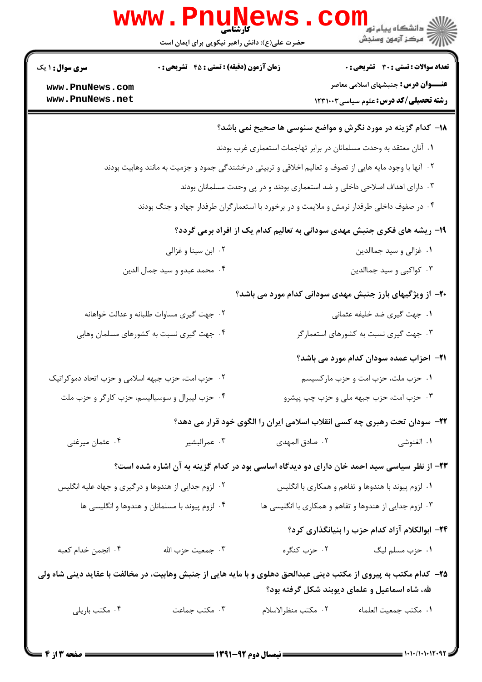|                                                                                          | <b>MMM • LIIIIII</b><br>حضرت علی(ع): دانش راهبر نیکویی برای ایمان است                                              |                                                                    | دانشگاه پیام نور<br>ا∛ مرکز آزمون وسنجش                                                                                                                            |  |  |
|------------------------------------------------------------------------------------------|--------------------------------------------------------------------------------------------------------------------|--------------------------------------------------------------------|--------------------------------------------------------------------------------------------------------------------------------------------------------------------|--|--|
| <b>سری سوال : ۱ یک</b><br>www.PnuNews.com                                                | زمان آزمون (دقیقه) : تستی : 45 آتشریحی : 0                                                                         |                                                                    | <b>تعداد سوالات : تستی : 30 - تشریحی : 0</b><br><b>عنــــوان درس:</b> جنبشهای اسلامی معاصر                                                                         |  |  |
| www.PnuNews.net                                                                          |                                                                                                                    |                                                                    | <b>رشته تحصیلی/کد درس:</b> علوم سیاسی ۱۲۳۱۰۰۳                                                                                                                      |  |  |
|                                                                                          |                                                                                                                    |                                                                    | 18– کدام گزینه در مورد نگرش و مواضع سنوسی ها صحیح نمی باشد؟                                                                                                        |  |  |
|                                                                                          |                                                                                                                    | ۰۱ آنان معتقد به وحدت مسلمانان در برابر تهاجمات استعماری غرب بودند |                                                                                                                                                                    |  |  |
|                                                                                          | <sup>۲</sup> ۰ آنها با وجود مایه هایی از تصوف و تعالیم اخلاقی و تربیتی درخشندگی جمود و جزمیت به مانند وهابیت بودند |                                                                    |                                                                                                                                                                    |  |  |
| ۰۳ دارای اهداف اصلاحی داخلی و ضد استعماری بودند و در پی وحدت مسلمانان بودند              |                                                                                                                    |                                                                    |                                                                                                                                                                    |  |  |
| ۰۴ در صفوف داخلی طرفدار نرمش و ملایمت و در برخورد با استعمارگران طرفدار جهاد و جنگ بودند |                                                                                                                    |                                                                    |                                                                                                                                                                    |  |  |
| ۱۹- ریشه های فکری جنبش مهدی سودانی به تعالیم کدام یک از افراد برمی گردد؟                 |                                                                                                                    |                                                                    |                                                                                                                                                                    |  |  |
|                                                                                          | ۰۲ ابن سينا و غزالي                                                                                                |                                                                    | ۰۱ غزالی و سید جماالدین                                                                                                                                            |  |  |
|                                                                                          | ۰۴ محمد عبدو و سيد جمال الدين                                                                                      |                                                                    | ۰۳ کواکبی و سید جماالدین                                                                                                                                           |  |  |
|                                                                                          |                                                                                                                    |                                                                    | ۲۰- از ویژگیهای بارز جنبش مهدی سودانی کدام مورد می باشد؟                                                                                                           |  |  |
|                                                                                          | ۰۲ جهت گیری مساوات طلبانه و عدالت خواهانه                                                                          |                                                                    | ۰۱ جهت گیری ضد خلیفه عثمانی                                                                                                                                        |  |  |
|                                                                                          | ۰۴ جهت گیری نسبت به کشورهای مسلمان وهابی                                                                           |                                                                    | ۰۳ جهت گیری نسبت به کشورهای استعمارگر                                                                                                                              |  |  |
|                                                                                          |                                                                                                                    |                                                                    | <b>ا۲-</b> احزاب عمده سودان کدام مورد می باشد؟                                                                                                                     |  |  |
| ۰۲ حزب امت، حزب جبهه اسلامی و حزب اتحاد دموکراتیک                                        |                                                                                                                    |                                                                    | ۰۱ حزب ملت، حزب امت و حزب مارکسیسم                                                                                                                                 |  |  |
|                                                                                          | ۰۴ حزب لیبرال و سوسیالیسم، حزب کارگر و حزب ملت                                                                     |                                                                    | ۰۳ حزب امت، حزب جبهه ملی و حزب چپ پیشرو                                                                                                                            |  |  |
|                                                                                          | ۲۲- سودان تحت رهبری چه کسی انقلاب اسلامی ایران را الگوی خود قرار می دهد؟                                           |                                                                    |                                                                                                                                                                    |  |  |
| ۰۴ عثمان میرغنی                                                                          | ۰۳ عمرالبشير                                                                                                       | ۰۲ صادق المهدی                                                     | ٠١. الغنوشي                                                                                                                                                        |  |  |
|                                                                                          |                                                                                                                    |                                                                    | ۲۳– از نظر سیاسی سید احمد خان دارای دو دیدگاه اساسی بود در کدام گزینه به آن اشاره شده است؟                                                                         |  |  |
|                                                                                          | ۰۲ لزوم جدایی از هندوها و درگیری و جهاد علیه انگلیس                                                                |                                                                    | ۰۱ لزوم پیوند با هندوها و تفاهم و همکاری با انگلیس                                                                                                                 |  |  |
|                                                                                          | ۰۴ لزوم پیوند با مسلمانان و هندوها و انگلیسی ها                                                                    |                                                                    | ۰۳ لزوم جدایی از هندوها و تفاهم و همکاری با انگلیسی ها                                                                                                             |  |  |
|                                                                                          |                                                                                                                    |                                                                    | ۲۴– ابوالکلام آزاد کدام حزب را بنیانگذاری کرد؟                                                                                                                     |  |  |
| ۰۴ انجمن خدام كعبه                                                                       | ۰۳ جمعیت حزب الله                                                                                                  | ۰۲ حزب کنگره                                                       | ۰۱ حزب مسلم ليگ                                                                                                                                                    |  |  |
|                                                                                          |                                                                                                                    |                                                                    | ۲۵- کدام مکتب به پیروی از مکتب دینی عبدالحق دهلوی و با مایه هایی از جنبش وهابیت، در مخالفت با عقاید دینی شاه ولی<br>لله، شاه اسماعیل و علمای دیوبند شکل گرفته بود؟ |  |  |
| ۰۴ مکتب باریلی                                                                           | ۰۳ مکتب جماعت                                                                                                      | ۰۲ مكتب منظرالاسلام                                                | ٠١. مكتب جمعيت العلماء                                                                                                                                             |  |  |
|                                                                                          |                                                                                                                    |                                                                    |                                                                                                                                                                    |  |  |